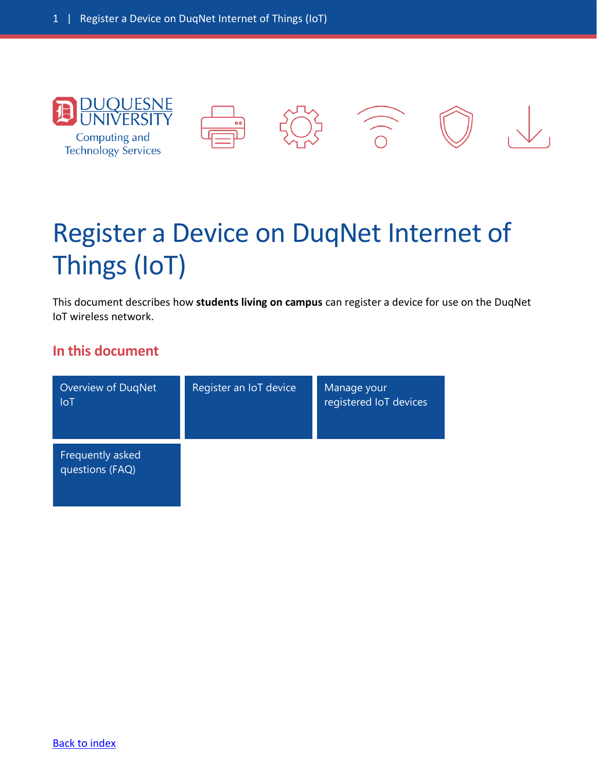<span id="page-0-0"></span>

# Register a Device on DuqNet Internet of Things (IoT)

This document describes how **students living on campus** can register a device for use on the DuqNet IoT wireless network.

#### **In this document**

| Overview of DuqNet<br><b>IoT</b>    | Register an IoT device | Manage your<br>registered IoT devices |
|-------------------------------------|------------------------|---------------------------------------|
| Frequently asked<br>questions (FAQ) |                        |                                       |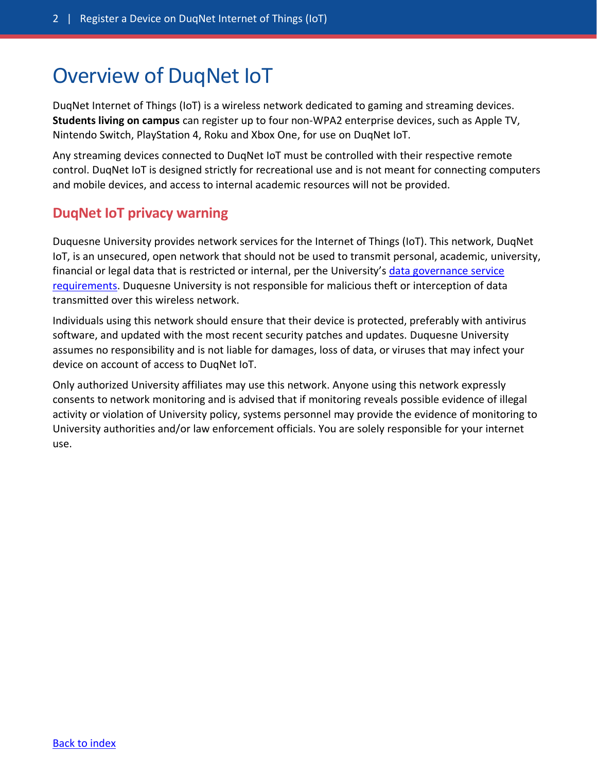### <span id="page-1-0"></span>Overview of DuqNet IoT

DuqNet Internet of Things (IoT) is a wireless network dedicated to gaming and streaming devices. **Students living on campus** can register up to four non-WPA2 enterprise devices, such as Apple TV, Nintendo Switch, PlayStation 4, Roku and Xbox One, for use on DuqNet IoT.

Any streaming devices connected to DuqNet IoT must be controlled with their respective remote control. DuqNet IoT is designed strictly for recreational use and is not meant for connecting computers and mobile devices, and access to internal academic resources will not be provided.

#### **DuqNet IoT privacy warning**

Duquesne University provides network services for the Internet of Things (IoT). This network, DuqNet IoT, is an unsecured, open network that should not be used to transmit personal, academic, university, financial or legal data that is restricted or internal, per the University's data governance service [requirements.](https://www.duq.edu/about/campus/computing-and-technology-services/policies/service-requirements/data-governance-service-requirements) Duquesne University is not responsible for malicious theft or interception of data transmitted over this wireless network.

Individuals using this network should ensure that their device is protected, preferably with antivirus software, and updated with the most recent security patches and updates. Duquesne University assumes no responsibility and is not liable for damages, loss of data, or viruses that may infect your device on account of access to DuqNet IoT.

Only authorized University affiliates may use this network. Anyone using this network expressly consents to network monitoring and is advised that if monitoring reveals possible evidence of illegal activity or violation of University policy, systems personnel may provide the evidence of monitoring to University authorities and/or law enforcement officials. You are solely responsible for your internet use.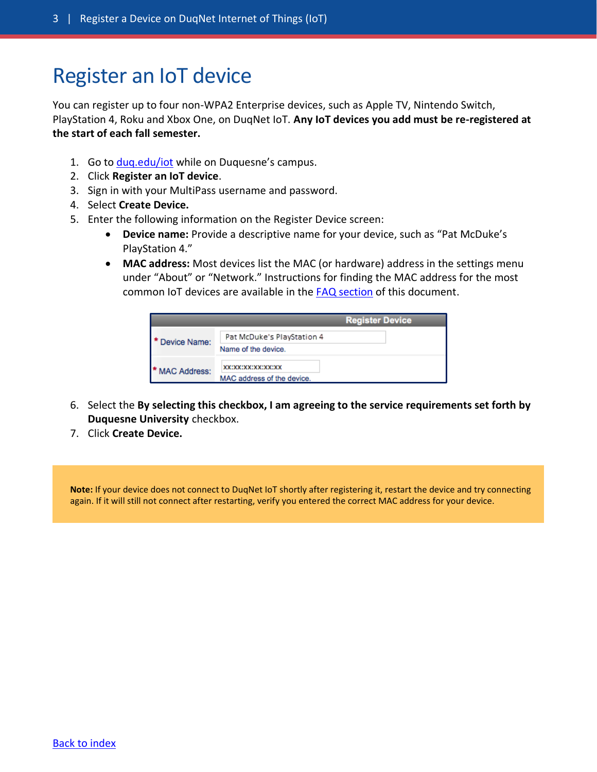### <span id="page-2-0"></span>Register an IoT device

You can register up to four non-WPA2 Enterprise devices, such as Apple TV, Nintendo Switch, PlayStation 4, Roku and Xbox One, on DuqNet IoT. **Any IoT devices you add must be re-registered at the start of each fall semester.**

- 1. Go to [duq.edu/iot](https://www.duq.edu/iot) while on Duquesne's campus.
- 2. Click **Register an IoT device**.
- 3. Sign in with your MultiPass username and password.
- 4. Select **Create Device.**
- 5. Enter the following information on the Register Device screen:
	- **Device name:** Provide a descriptive name for your device, such as "Pat McDuke's PlayStation 4."
	- **MAC address:** Most devices list the MAC (or hardware) address in the settings menu under "About" or "Network." Instructions for finding the MAC address for the most common IoT devices are available in the [FAQ section](#page-4-0) of this document.

|                | <b>Register Device</b>                            |
|----------------|---------------------------------------------------|
| Device Name:   | Pat McDuke's PlayStation 4<br>Name of the device. |
| * MAC Address: | XX:XX:XX:XX:XX:XX:X<br>MAC address of the device. |

- 6. Select the **By selecting this checkbox, I am agreeing to the service requirements set forth by Duquesne University** checkbox.
- 7. Click **Create Device.**

**Note:** If your device does not connect to DuqNet IoT shortly after registering it, restart the device and try connecting again. If it will still not connect after restarting, verify you entered the correct MAC address for your device.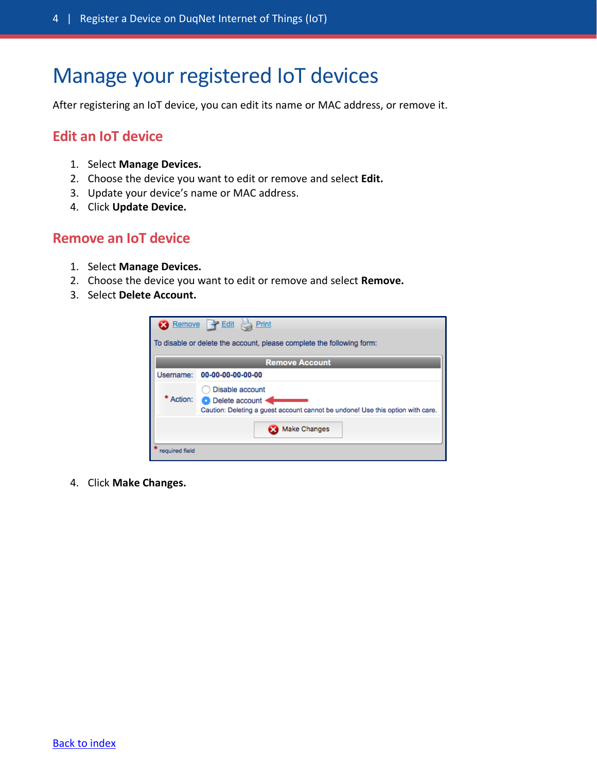### <span id="page-3-0"></span>Manage your registered IoT devices

After registering an IoT device, you can edit its name or MAC address, or remove it.

#### **Edit an IoT device**

- 1. Select **Manage Devices.**
- 2. Choose the device you want to edit or remove and select **Edit.**
- 3. Update your device's name or MAC address.
- 4. Click **Update Device.**

#### **Remove an IoT device**

- 1. Select **Manage Devices.**
- 2. Choose the device you want to edit or remove and select **Remove.**
- 3. Select **Delete Account.**

| Remove <b>P</b> Edit <b>B</b> Print                                   |                                                                                                                         |  |
|-----------------------------------------------------------------------|-------------------------------------------------------------------------------------------------------------------------|--|
| To disable or delete the account, please complete the following form: |                                                                                                                         |  |
| <b>Remove Account</b>                                                 |                                                                                                                         |  |
| Username:                                                             | 00-00-00-00-00-00                                                                                                       |  |
| Action:                                                               | Disable account<br>O Delete account .<br>Caution: Deleting a guest account cannot be undone! Use this option with care. |  |
|                                                                       | <b>Make Changes</b>                                                                                                     |  |
| required field                                                        |                                                                                                                         |  |

4. Click **Make Changes.**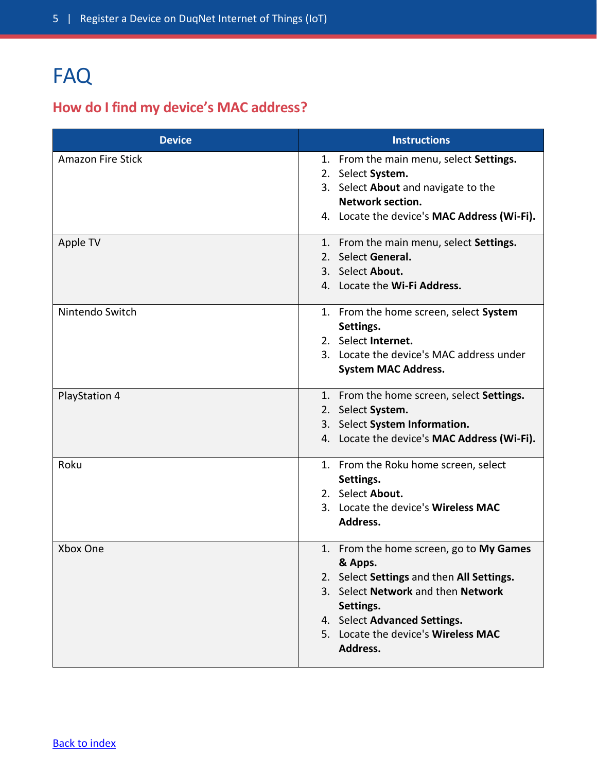## <span id="page-4-0"></span>FAQ

### **How do I find my device's MAC address?**

| <b>Device</b>            | <b>Instructions</b>                                 |
|--------------------------|-----------------------------------------------------|
| <b>Amazon Fire Stick</b> | 1. From the main menu, select Settings.             |
|                          | 2. Select System.                                   |
|                          | 3. Select About and navigate to the                 |
|                          | <b>Network section.</b>                             |
|                          | 4. Locate the device's MAC Address (Wi-Fi).         |
| Apple TV                 | 1. From the main menu, select Settings.             |
|                          | 2. Select General.                                  |
|                          | 3. Select About.                                    |
|                          | 4. Locate the Wi-Fi Address.                        |
| Nintendo Switch          | 1. From the home screen, select System<br>Settings. |
|                          | 2. Select Internet.                                 |
|                          | 3. Locate the device's MAC address under            |
|                          | <b>System MAC Address.</b>                          |
| <b>PlayStation 4</b>     | 1. From the home screen, select Settings.           |
|                          | 2. Select System.                                   |
|                          | 3. Select System Information.                       |
|                          | 4. Locate the device's MAC Address (Wi-Fi).         |
| Roku                     | 1. From the Roku home screen, select                |
|                          | Settings.                                           |
|                          | 2. Select About.                                    |
|                          | 3. Locate the device's Wireless MAC                 |
|                          | Address.                                            |
| Xbox One                 | 1. From the home screen, go to My Games             |
|                          | & Apps.                                             |
|                          | 2. Select Settings and then All Settings.           |
|                          | 3. Select Network and then Network                  |
|                          | Settings.<br>4. Select Advanced Settings.           |
|                          | 5. Locate the device's Wireless MAC                 |
|                          | Address.                                            |
|                          |                                                     |